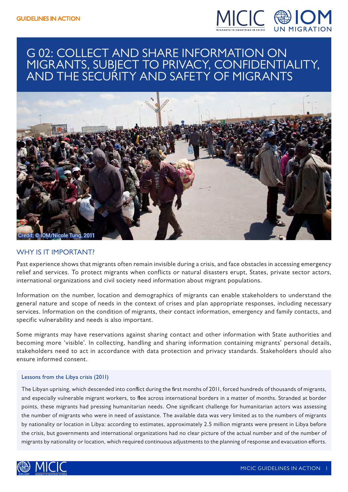

## G 02: COLLECT AND SHARE INFORMATION ON MIGRANTS, SUBJECT TO PRIVACY, CONFIDENTIALITY, AND THE SECURITY AND SAFETY OF MIGRANTS



## WHY IS IT IMPORTANT?

Past experience shows that migrants often remain invisible during a crisis, and face obstacles in accessing emergency relief and services. To protect migrants when conflicts or natural disasters erupt, States, private sector actors, international organizations and civil society need information about migrant populations.

Information on the number, location and demographics of migrants can enable stakeholders to understand the general nature and scope of needs in the context of crises and plan appropriate responses, including necessary services. Information on the condition of migrants, their contact information, emergency and family contacts, and specific vulnerability and needs is also important.

Some migrants may have reservations against sharing contact and other information with State authorities and becoming more 'visible'. In collecting, handling and sharing information containing migrants' personal details, stakeholders need to act in accordance with data protection and privacy standards. Stakeholders should also ensure informed consent.

### Lessons from the Libya crisis (2011)

The Libyan uprising, which descended into conflict during the first months of 2011, forced hundreds of thousands of migrants, and especially vulnerable migrant workers, to flee across international borders in a matter of months. Stranded at border points, these migrants had pressing humanitarian needs. One significant challenge for humanitarian actors was assessing the number of migrants who were in need of assistance. The available data was very limited as to the numbers of migrants by nationality or location in Libya: according to estimates, approximately 2.5 million migrants were present in Libya before the crisis, but governments and international organizations had no clear picture of the actual number and of the number of migrants by nationality or location, which required continuous adjustments to the planning of response and evacuation efforts.

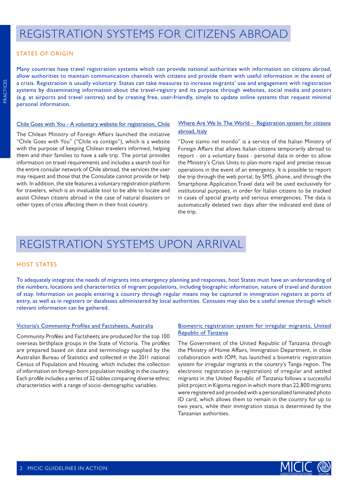## REGISTRATION SYSTEMS FOR CITIZENS ABROAD

### STATES OF ORIGIN

Many countries have travel registration systems which can provide national authorities with information on citizens abroad, allow authorities to maintain communication channels with citizens and provide them with useful information in the event of a crisis. Registration is usually voluntary. States can take measures to increase migrants' use and engagement with registration systems by disseminating information about the travel-registry and its purpose through websites, social media and posters (e.g. at airports and travel centres) and by creating free, user-friendly, simple to update online systems that request minimal personal information.

### [Chile Goes with You - A voluntary website for registration, Chile](https://micicinitiative.iom.int/micicinitiative/chile-goes-you)

The Chilean Ministry of Foreign Affairs launched the initiative "Chile Goes with You" ("Chile va contigo"), which is a website with the purpose of keeping Chilean travelers informed, helping them and their families to have a safe trip. The portal provides information on travel requirements and includes a search tool for the entire consular network of Chile abroad, the services the user may request and those that the Consulate cannot provide or help with. In addition, the site features a voluntary registration platform for travelers, which is an invaluable tool to be able to locate and assist Chilean citizens abroad in the case of natural disasters or other types of crisis affecting them in their host country.

## [Where Are We In The World - Registration system for citizens](http://micicinitiative.iom.int/micicinitiative/dove-siamo-nel-mondo-where-are-we-world) [abroad, Italy](http://micicinitiative.iom.int/micicinitiative/dove-siamo-nel-mondo-where-are-we-world)

"Dove siamo nel mondo" is a service of the Italian Ministry of Foreign Affairs that allows Italian citizens temporarily abroad to report - on a voluntary basis - personal data in order to allow the Ministry's Crisis Units to plan more rapid and precise rescue operations in the event of an emergency. It is possible to report the trip through the web portal, by SMS, phone, and through the Smartphone Application.Travel data will be used exclusively for institutional purposes, in order for Italian citizens to be tracked in cases of special gravity and serious emergencies. The data is automatically deleted two days after the indicated end date of the trip.

## REGISTRATION SYSTEMS UPON ARRIVAL

## HOST STATES

To adequately integrate the needs of migrants into emergency planning and responses, host States must have an understanding of the numbers, locations and characteristics of migrant populations, including biographic information, nature of travel and duration of stay. Information on people entering a country through regular means may be captured in immigration registers at ports of entry, as well as in registers or databases administered by local authorities. Censuses may also be a useful avenue through which relevant information can be gathered.

## [Victoria's Community Profiles and Factsheets, Australia](https://micicinitiative.iom.int/micicinitiative/victoria%E2%80%99s-community-profiles-and-factsheets)

Community Profiles and Factsheets are produced for the top 100 overseas birthplace groups in the State of Victoria. The profiles are prepared based on data and terminology supplied by the Australian Bureau of Statistics and collected in the 2011 national Census of Population and Housing, which includes the collection of information on foreign-born population residing in the country. Each profile includes a series of 32 tables comparing diverse ethnic characteristics with a range of socio-demographic variables.

#### [Biometric registration system for irregular migrants, United](https://micicinitiative.iom.int/micicinitiative/biometric-registration-system-migrants) [Republic of Tanzania](https://micicinitiative.iom.int/micicinitiative/biometric-registration-system-migrants)

The Government of the United Republic of Tanzania through the Ministry of Home Affairs, Immigration Department, in close collaboration with IOM, has launched a biometric registration system for irregular migrants in the country's Tanga region. The electronic registration (e-registration) of irregular and settled migrants in the United Republic of Tanzania follows a successful pilot project in Kigoma region in which more than 22,800 migrants were registered and provided with a personalized laminated photo ID card, which allows them to remain in the country for up to two years, while their immigration status is determined by the Tanzanian authorities.

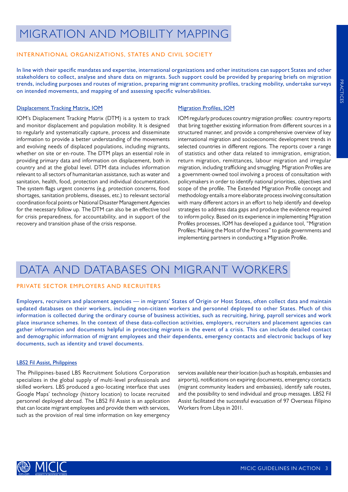#### INTERNATIONAL ORGANIZATIONS, STATES AND CIVIL SOCIETY

In line with their specific mandates and expertise, international organizations and other institutions can support States and other stakeholders to collect, analyse and share data on migrants. Such support could be provided by preparing briefs on migration trends, including purposes and routes of migration, preparing migrant community profiles, tracking mobility, undertake surveys on intended movements, and mapping of and assessing specific vulnerabilities.

#### [Displacement Tracking Matrix, IOM](https://micicinitiative.iom.int/micicinitiative/displacement-tracking-matrix-dtm)

IOM's Displacement Tracking Matrix (DTM) is a system to track and monitor displacement and population mobility. It is designed to regularly and systematically capture, process and disseminate information to provide a better understanding of the movements and evolving needs of displaced populations, including migrants, whether on site or en-route. The DTM plays an essential role in providing primary data and information on displacement, both in country and at the global level. DTM data includes information relevant to all sectors of humanitarian assistance, such as water and sanitation, health, food, protection and individual documentation. The system flags urgent concerns (e.g. protection concerns, food shortages, sanitation problems, diseases, etc.) to relevant sectorial coordination focal points or National Disaster Management Agencies for the necessary follow up. The DTM can also be an effective tool for crisis preparedness, for accountability, and in support of the recovery and transition phase of the crisis response.

#### [Migration Profiles, IOM](http://micicinitiative.iom.int/micicinitiative/migration-profiles)

IOM regularly produces country migration profiles: country reports that bring together existing information from different sources in a structured manner, and provide a comprehensive overview of key international migration and socioeconomic development trends in selected countries in different regions. The reports cover a range of statistics and other data related to immigration, emigration, return migration, remittances, labour migration and irregular migration, including trafficking and smuggling. Migration Profiles are a government-owned tool involving a process of consultation with policymakers in order to identify national priorities, objectives and scope of the profile. The Extended Migration Profile concept and methodology entails a more elaborate process involving consultation with many different actors in an effort to help identify and develop strategies to address data gaps and produce the evidence required to inform policy. Based on its experience in implementing Migration Profiles processes, IOM has developed a guidance tool, "Migration Profiles: Making the Most of the Process" to guide governments and implementing partners in conducting a Migration Profile.

# DATA AND DATABASES ON MIGRANT WORKERS

### PRIVATE SECTOR EMPLOYERS AND RECRUITERS

Employers, recruiters and placement agencies — in migrants' States of Origin or Host States, often collect data and maintain updated databases on their workers, including non-citizen workers and personnel deployed to other States. Much of this information is collected during the ordinary course of business activities, such as recruiting, hiring, payroll services and work place insurance schemes. In the context of these data-collection activities, employers, recruiters and placement agencies can gather information and documents helpful in protecting migrants in the event of a crisis. This can include detailed contact and demographic information of migrant employees and their dependents, emergency contacts and electronic backups of key documents, such as identity and travel documents.

#### [LBS2 Fil Assist, Philippines](https://micicinitiative.iom.int/micicinitiative/lbs2-fil-assist)

The Philippines-based LBS Recruitment Solutions Corporation specializes in the global supply of multi-level professionals and skilled workers. LBS produced a geo-locating interface that uses Google Maps' technology (history location) to locate recruited personnel deployed abroad. The LBS2 Fil Assist is an application that can locate migrant employees and provide them with services, such as the provision of real time information on key emergency services available near their location (such as hospitals, embassies and airports), notifications on expiring documents, emergency contacts (migrant community leaders and embassies), identify safe routes, and the possibility to send individual and group messages. LBS2 Fil Assist facilitated the successful evacuation of 97 Overseas Filipino Workers from Libya in 2011.